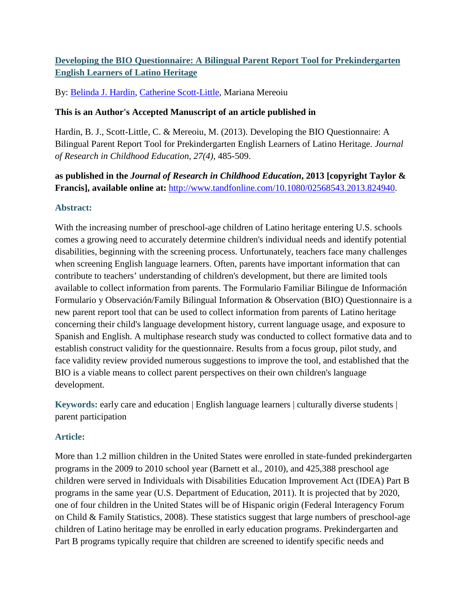# **Developing the BIO Questionnaire: A Bilingual Parent Report Tool for Prekindergarten English Learners of Latino Heritage**

By: [Belinda J. Hardin,](https://libres.uncg.edu/ir/uncg/clist.aspx?id=999) [Catherine Scott-Little,](https://libres.uncg.edu/ir/uncg/clist.aspx?id=1193) Mariana Mereoiu

# **This is an Author's Accepted Manuscript of an article published in**

Hardin, B. J., Scott-Little, C. & Mereoiu, M. (2013). Developing the BIO Questionnaire: A Bilingual Parent Report Tool for Prekindergarten English Learners of Latino Heritage. *Journal of Research in Childhood Education*, *27(4)*, 485-509.

# **as published in the** *Journal of Research in Childhood Education***, 2013 [copyright Taylor & Francis], available online at:** [http://www.tandfonline.com/10.1080/02568543.2013.824940.](http://www.tandfonline.com/10.1080/02568543.2013.824940)

# **Abstract:**

With the increasing number of preschool-age children of Latino heritage entering U.S. schools comes a growing need to accurately determine children's individual needs and identify potential disabilities, beginning with the screening process. Unfortunately, teachers face many challenges when screening English language learners. Often, parents have important information that can contribute to teachers' understanding of children's development, but there are limited tools available to collect information from parents. The Formulario Familiar Bilingue de Información Formulario y Observación/Family Bilingual Information & Observation (BIO) Questionnaire is a new parent report tool that can be used to collect information from parents of Latino heritage concerning their child's language development history, current language usage, and exposure to Spanish and English. A multiphase research study was conducted to collect formative data and to establish construct validity for the questionnaire. Results from a focus group, pilot study, and face validity review provided numerous suggestions to improve the tool, and established that the BIO is a viable means to collect parent perspectives on their own children's language development.

**Keywords:** early care and education | English language learners | culturally diverse students | parent participation

# **Article:**

More than 1.2 million children in the United States were enrolled in state-funded prekindergarten programs in the 2009 to 2010 school year (Barnett et al., 2010), and 425,388 preschool age children were served in Individuals with Disabilities Education Improvement Act (IDEA) Part B programs in the same year (U.S. Department of Education, 2011). It is projected that by 2020, one of four children in the United States will be of Hispanic origin (Federal Interagency Forum on Child & Family Statistics, 2008). These statistics suggest that large numbers of preschool-age children of Latino heritage may be enrolled in early education programs. Prekindergarten and Part B programs typically require that children are screened to identify specific needs and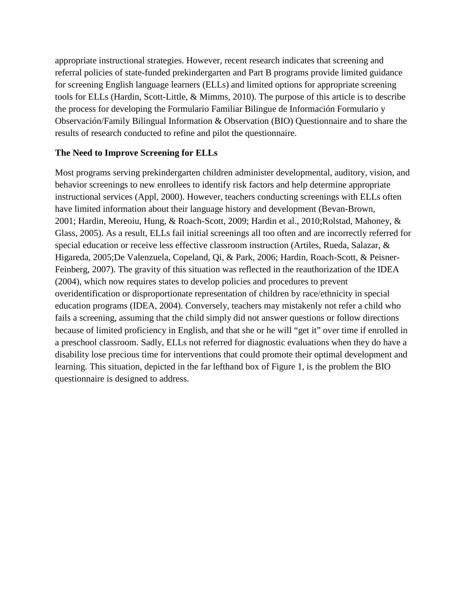appropriate instructional strategies. However, recent research indicates that screening and referral policies of state-funded prekindergarten and Part B programs provide limited guidance for screening English language learners (ELLs) and limited options for appropriate screening tools for ELLs (Hardin, Scott-Little, & Mimms, 2010). The purpose of this article is to describe the process for developing the Formulario Familiar Bilingue de Información Formulario y Observación/Family Bilingual Information & Observation (BIO) Questionnaire and to share the results of research conducted to refine and pilot the questionnaire.

### **The Need to Improve Screening for ELLs**

Most programs serving prekindergarten children administer developmental, auditory, vision, and behavior screenings to new enrollees to identify risk factors and help determine appropriate instructional services (Appl, 2000). However, teachers conducting screenings with ELLs often have limited information about their language history and development (Bevan-Brown, 2001; Hardin, Mereoiu, Hung, & Roach-Scott, 2009; Hardin et al., 2010;Rolstad, Mahoney, & Glass, 2005). As a result, ELLs fail initial screenings all too often and are incorrectly referred for special education or receive less effective classroom instruction (Artiles, Rueda, Salazar, & Higareda, 2005;De Valenzuela, Copeland, Qi, & Park, 2006; Hardin, Roach-Scott, & Peisner-Feinberg, 2007). The gravity of this situation was reflected in the reauthorization of the IDEA (2004), which now requires states to develop policies and procedures to prevent overidentification or disproportionate representation of children by race/ethnicity in special education programs (IDEA, 2004). Conversely, teachers may mistakenly not refer a child who fails a screening, assuming that the child simply did not answer questions or follow directions because of limited proficiency in English, and that she or he will "get it" over time if enrolled in a preschool classroom. Sadly, ELLs not referred for diagnostic evaluations when they do have a disability lose precious time for interventions that could promote their optimal development and learning. This situation, depicted in the far lefthand box of Figure 1, is the problem the BIO questionnaire is designed to address.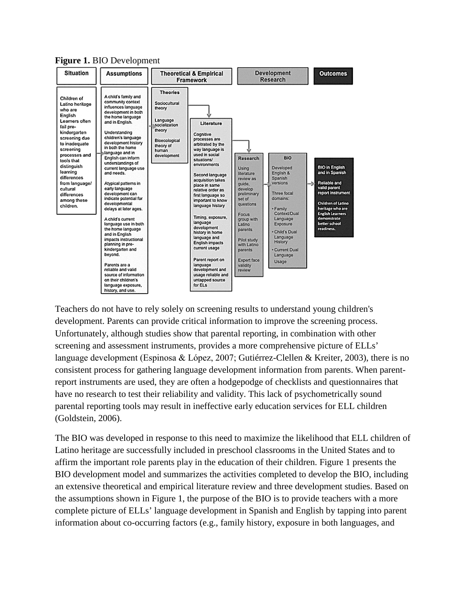

**Figure 1.** BIO Development

Teachers do not have to rely solely on screening results to understand young children's development. Parents can provide critical information to improve the screening process. Unfortunately, although studies show that parental reporting, in combination with other screening and assessment instruments, provides a more comprehensive picture of ELLs' language development (Espinosa & Lόpez, 2007; Gutiérrez-Clellen & Kreiter, 2003), there is no consistent process for gathering language development information from parents. When parentreport instruments are used, they are often a hodgepodge of checklists and questionnaires that have no research to test their reliability and validity. This lack of psychometrically sound parental reporting tools may result in ineffective early education services for ELL children (Goldstein, 2006).

The BIO was developed in response to this need to maximize the likelihood that ELL children of Latino heritage are successfully included in preschool classrooms in the United States and to affirm the important role parents play in the education of their children. Figure 1 presents the BIO development model and summarizes the activities completed to develop the BIO, including an extensive theoretical and empirical literature review and three development studies. Based on the assumptions shown in Figure 1, the purpose of the BIO is to provide teachers with a more complete picture of ELLs' language development in Spanish and English by tapping into parent information about co-occurring factors (e.g., family history, exposure in both languages, and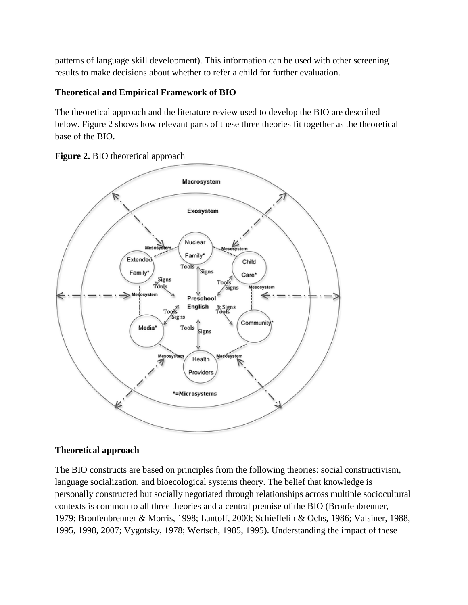patterns of language skill development). This information can be used with other screening results to make decisions about whether to refer a child for further evaluation.

# **Theoretical and Empirical Framework of BIO**

The theoretical approach and the literature review used to develop the BIO are described below. Figure 2 shows how relevant parts of these three theories fit together as the theoretical base of the BIO.

**Figure 2.** BIO theoretical approach



# **Theoretical approach**

The BIO constructs are based on principles from the following theories: social constructivism, language socialization, and bioecological systems theory. The belief that knowledge is personally constructed but socially negotiated through relationships across multiple sociocultural contexts is common to all three theories and a central premise of the BIO (Bronfenbrenner, 1979; Bronfenbrenner & Morris, 1998; Lantolf, 2000; Schieffelin & Ochs, 1986; Valsiner, 1988, 1995, 1998, 2007; Vygotsky, 1978; Wertsch, 1985, 1995). Understanding the impact of these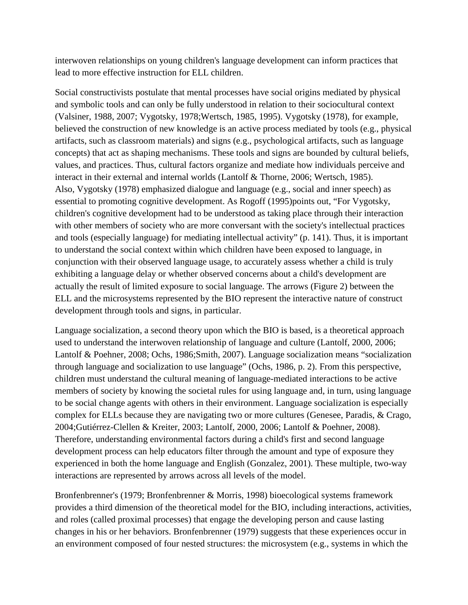interwoven relationships on young children's language development can inform practices that lead to more effective instruction for ELL children.

Social constructivists postulate that mental processes have social origins mediated by physical and symbolic tools and can only be fully understood in relation to their sociocultural context (Valsiner, 1988, 2007; Vygotsky, 1978;Wertsch, 1985, 1995). Vygotsky (1978), for example, believed the construction of new knowledge is an active process mediated by tools (e.g., physical artifacts, such as classroom materials) and signs (e.g., psychological artifacts, such as language concepts) that act as shaping mechanisms. These tools and signs are bounded by cultural beliefs, values, and practices. Thus, cultural factors organize and mediate how individuals perceive and interact in their external and internal worlds (Lantolf & Thorne, 2006; Wertsch, 1985). Also, Vygotsky (1978) emphasized dialogue and language (e.g., social and inner speech) as essential to promoting cognitive development. As Rogoff (1995)points out, "For Vygotsky, children's cognitive development had to be understood as taking place through their interaction with other members of society who are more conversant with the society's intellectual practices and tools (especially language) for mediating intellectual activity" (p. 141). Thus, it is important to understand the social context within which children have been exposed to language, in conjunction with their observed language usage, to accurately assess whether a child is truly exhibiting a language delay or whether observed concerns about a child's development are actually the result of limited exposure to social language. The arrows (Figure 2) between the ELL and the microsystems represented by the BIO represent the interactive nature of construct development through tools and signs, in particular.

Language socialization, a second theory upon which the BIO is based, is a theoretical approach used to understand the interwoven relationship of language and culture (Lantolf, 2000, 2006; Lantolf & Poehner, 2008; Ochs, 1986;Smith, 2007). Language socialization means "socialization through language and socialization to use language" (Ochs, 1986, p. 2). From this perspective, children must understand the cultural meaning of language-mediated interactions to be active members of society by knowing the societal rules for using language and, in turn, using language to be social change agents with others in their environment. Language socialization is especially complex for ELLs because they are navigating two or more cultures (Genesee, Paradis, & Crago, 2004;Gutiérrez-Clellen & Kreiter, 2003; Lantolf, 2000, 2006; Lantolf & Poehner, 2008). Therefore, understanding environmental factors during a child's first and second language development process can help educators filter through the amount and type of exposure they experienced in both the home language and English (Gonzalez, 2001). These multiple, two-way interactions are represented by arrows across all levels of the model.

Bronfenbrenner's (1979; Bronfenbrenner & Morris, 1998) bioecological systems framework provides a third dimension of the theoretical model for the BIO, including interactions, activities, and roles (called proximal processes) that engage the developing person and cause lasting changes in his or her behaviors. Bronfenbrenner (1979) suggests that these experiences occur in an environment composed of four nested structures: the microsystem (e.g., systems in which the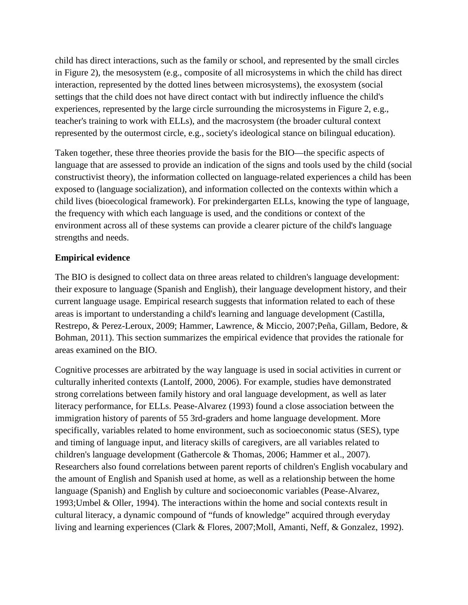child has direct interactions, such as the family or school, and represented by the small circles in Figure 2), the mesosystem (e.g., composite of all microsystems in which the child has direct interaction, represented by the dotted lines between microsystems), the exosystem (social settings that the child does not have direct contact with but indirectly influence the child's experiences, represented by the large circle surrounding the microsystems in Figure 2, e.g., teacher's training to work with ELLs), and the macrosystem (the broader cultural context represented by the outermost circle, e.g., society's ideological stance on bilingual education).

Taken together, these three theories provide the basis for the BIO—the specific aspects of language that are assessed to provide an indication of the signs and tools used by the child (social constructivist theory), the information collected on language-related experiences a child has been exposed to (language socialization), and information collected on the contexts within which a child lives (bioecological framework). For prekindergarten ELLs, knowing the type of language, the frequency with which each language is used, and the conditions or context of the environment across all of these systems can provide a clearer picture of the child's language strengths and needs.

## **Empirical evidence**

The BIO is designed to collect data on three areas related to children's language development: their exposure to language (Spanish and English), their language development history, and their current language usage. Empirical research suggests that information related to each of these areas is important to understanding a child's learning and language development (Castilla, Restrepo, & Perez-Leroux, 2009; Hammer, Lawrence, & Miccio, 2007;Peña, Gillam, Bedore, & Bohman, 2011). This section summarizes the empirical evidence that provides the rationale for areas examined on the BIO.

Cognitive processes are arbitrated by the way language is used in social activities in current or culturally inherited contexts (Lantolf, 2000, 2006). For example, studies have demonstrated strong correlations between family history and oral language development, as well as later literacy performance, for ELLs. Pease-Alvarez (1993) found a close association between the immigration history of parents of 55 3rd-graders and home language development. More specifically, variables related to home environment, such as socioeconomic status (SES), type and timing of language input, and literacy skills of caregivers, are all variables related to children's language development (Gathercole & Thomas, 2006; Hammer et al., 2007). Researchers also found correlations between parent reports of children's English vocabulary and the amount of English and Spanish used at home, as well as a relationship between the home language (Spanish) and English by culture and socioeconomic variables (Pease-Alvarez, 1993;Umbel & Oller, 1994). The interactions within the home and social contexts result in cultural literacy, a dynamic compound of "funds of knowledge" acquired through everyday living and learning experiences (Clark & Flores, 2007;Moll, Amanti, Neff, & Gonzalez, 1992).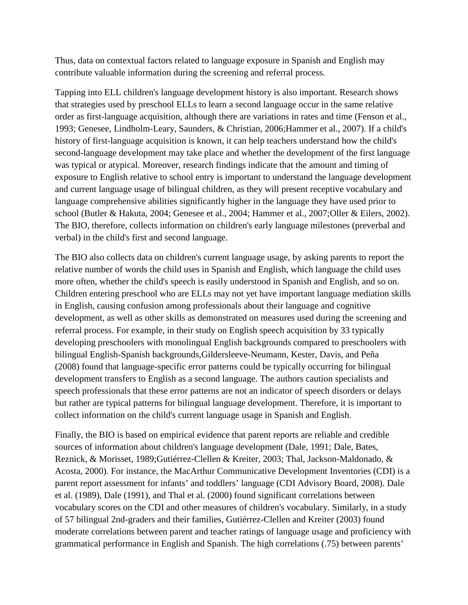Thus, data on contextual factors related to language exposure in Spanish and English may contribute valuable information during the screening and referral process.

Tapping into ELL children's language development history is also important. Research shows that strategies used by preschool ELLs to learn a second language occur in the same relative order as first-language acquisition, although there are variations in rates and time (Fenson et al., 1993; Genesee, Lindholm-Leary, Saunders, & Christian, 2006;Hammer et al., 2007). If a child's history of first-language acquisition is known, it can help teachers understand how the child's second-language development may take place and whether the development of the first language was typical or atypical. Moreover, research findings indicate that the amount and timing of exposure to English relative to school entry is important to understand the language development and current language usage of bilingual children, as they will present receptive vocabulary and language comprehensive abilities significantly higher in the language they have used prior to school (Butler & Hakuta, 2004; Genesee et al., 2004; Hammer et al., 2007;Oller & Eilers, 2002). The BIO, therefore, collects information on children's early language milestones (preverbal and verbal) in the child's first and second language.

The BIO also collects data on children's current language usage, by asking parents to report the relative number of words the child uses in Spanish and English, which language the child uses more often, whether the child's speech is easily understood in Spanish and English, and so on. Children entering preschool who are ELLs may not yet have important language mediation skills in English, causing confusion among professionals about their language and cognitive development, as well as other skills as demonstrated on measures used during the screening and referral process. For example, in their study on English speech acquisition by 33 typically developing preschoolers with monolingual English backgrounds compared to preschoolers with bilingual English-Spanish backgrounds,Gildersleeve-Neumann, Kester, Davis, and Peña (2008) found that language-specific error patterns could be typically occurring for bilingual development transfers to English as a second language. The authors caution specialists and speech professionals that these error patterns are not an indicator of speech disorders or delays but rather are typical patterns for bilingual language development. Therefore, it is important to collect information on the child's current language usage in Spanish and English.

Finally, the BIO is based on empirical evidence that parent reports are reliable and credible sources of information about children's language development (Dale, 1991; Dale, Bates, Reznick, & Morisset, 1989;Gutiérrez-Clellen & Kreiter, 2003; Thal, Jackson-Maldonado, & Acosta, 2000). For instance, the MacArthur Communicative Development Inventories (CDI) is a parent report assessment for infants' and toddlers' language (CDI Advisory Board, 2008). Dale et al. (1989), Dale (1991), and Thal et al. (2000) found significant correlations between vocabulary scores on the CDI and other measures of children's vocabulary. Similarly, in a study of 57 bilingual 2nd-graders and their families, Gutiérrez-Clellen and Kreiter (2003) found moderate correlations between parent and teacher ratings of language usage and proficiency with grammatical performance in English and Spanish. The high correlations (.75) between parents'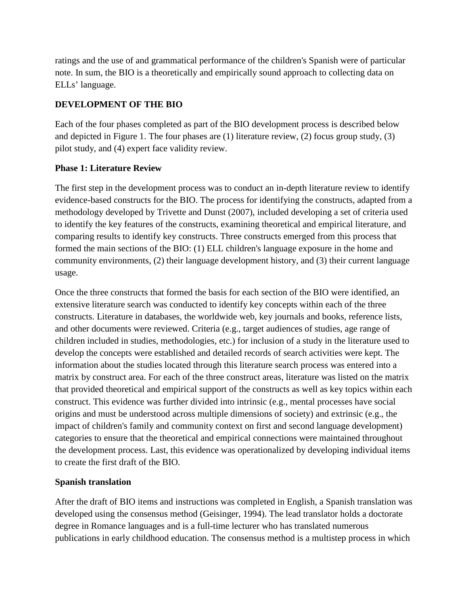ratings and the use of and grammatical performance of the children's Spanish were of particular note. In sum, the BIO is a theoretically and empirically sound approach to collecting data on ELLs' language.

# **DEVELOPMENT OF THE BIO**

Each of the four phases completed as part of the BIO development process is described below and depicted in Figure 1. The four phases are (1) literature review, (2) focus group study, (3) pilot study, and (4) expert face validity review.

## **Phase 1: Literature Review**

The first step in the development process was to conduct an in-depth literature review to identify evidence-based constructs for the BIO. The process for identifying the constructs, adapted from a methodology developed by Trivette and Dunst (2007), included developing a set of criteria used to identify the key features of the constructs, examining theoretical and empirical literature, and comparing results to identify key constructs. Three constructs emerged from this process that formed the main sections of the BIO: (1) ELL children's language exposure in the home and community environments, (2) their language development history, and (3) their current language usage.

Once the three constructs that formed the basis for each section of the BIO were identified, an extensive literature search was conducted to identify key concepts within each of the three constructs. Literature in databases, the worldwide web, key journals and books, reference lists, and other documents were reviewed. Criteria (e.g., target audiences of studies, age range of children included in studies, methodologies, etc.) for inclusion of a study in the literature used to develop the concepts were established and detailed records of search activities were kept. The information about the studies located through this literature search process was entered into a matrix by construct area. For each of the three construct areas, literature was listed on the matrix that provided theoretical and empirical support of the constructs as well as key topics within each construct. This evidence was further divided into intrinsic (e.g., mental processes have social origins and must be understood across multiple dimensions of society) and extrinsic (e.g., the impact of children's family and community context on first and second language development) categories to ensure that the theoretical and empirical connections were maintained throughout the development process. Last, this evidence was operationalized by developing individual items to create the first draft of the BIO.

## **Spanish translation**

After the draft of BIO items and instructions was completed in English, a Spanish translation was developed using the consensus method (Geisinger, 1994). The lead translator holds a doctorate degree in Romance languages and is a full-time lecturer who has translated numerous publications in early childhood education. The consensus method is a multistep process in which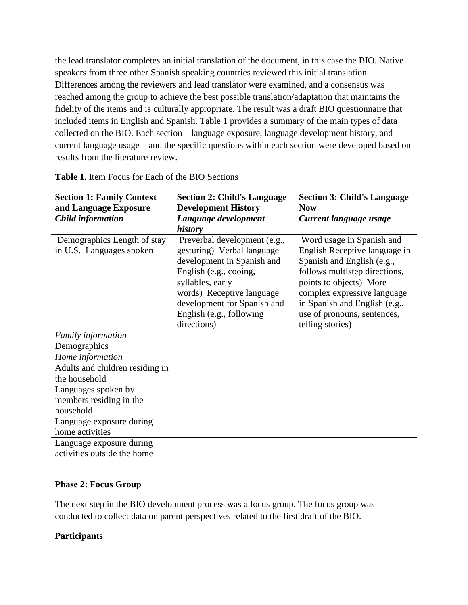the lead translator completes an initial translation of the document, in this case the BIO. Native speakers from three other Spanish speaking countries reviewed this initial translation. Differences among the reviewers and lead translator were examined, and a consensus was reached among the group to achieve the best possible translation/adaptation that maintains the fidelity of the items and is culturally appropriate. The result was a draft BIO questionnaire that included items in English and Spanish. Table 1 provides a summary of the main types of data collected on the BIO. Each section—language exposure, language development history, and current language usage—and the specific questions within each section were developed based on results from the literature review.

| <b>Section 1: Family Context</b> | <b>Section 2: Child's Language</b> | <b>Section 3: Child's Language</b> |
|----------------------------------|------------------------------------|------------------------------------|
| and Language Exposure            | <b>Development History</b>         | <b>Now</b>                         |
| <b>Child information</b>         | Language development               | Current language usage             |
|                                  | history                            |                                    |
| Demographics Length of stay      | Preverbal development (e.g.,       | Word usage in Spanish and          |
| in U.S. Languages spoken         | gesturing) Verbal language         | English Receptive language in      |
|                                  | development in Spanish and         | Spanish and English (e.g.,         |
|                                  | English (e.g., cooing,             | follows multistep directions,      |
|                                  | syllables, early                   | points to objects) More            |
|                                  | words) Receptive language          | complex expressive language        |
|                                  | development for Spanish and        | in Spanish and English (e.g.,      |
|                                  | English (e.g., following           | use of pronouns, sentences,        |
|                                  | directions)                        | telling stories)                   |
| Family information               |                                    |                                    |
| Demographics                     |                                    |                                    |
| Home information                 |                                    |                                    |
| Adults and children residing in  |                                    |                                    |
| the household                    |                                    |                                    |
| Languages spoken by              |                                    |                                    |
| members residing in the          |                                    |                                    |
| household                        |                                    |                                    |
| Language exposure during         |                                    |                                    |
| home activities                  |                                    |                                    |
| Language exposure during         |                                    |                                    |
| activities outside the home      |                                    |                                    |

**Table 1.** Item Focus for Each of the BIO Sections

## **Phase 2: Focus Group**

The next step in the BIO development process was a focus group. The focus group was conducted to collect data on parent perspectives related to the first draft of the BIO.

## **Participants**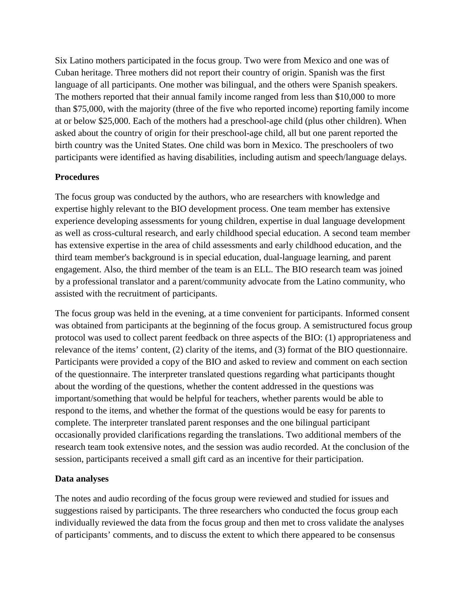Six Latino mothers participated in the focus group. Two were from Mexico and one was of Cuban heritage. Three mothers did not report their country of origin. Spanish was the first language of all participants. One mother was bilingual, and the others were Spanish speakers. The mothers reported that their annual family income ranged from less than \$10,000 to more than \$75,000, with the majority (three of the five who reported income) reporting family income at or below \$25,000. Each of the mothers had a preschool-age child (plus other children). When asked about the country of origin for their preschool-age child, all but one parent reported the birth country was the United States. One child was born in Mexico. The preschoolers of two participants were identified as having disabilities, including autism and speech/language delays.

# **Procedures**

The focus group was conducted by the authors, who are researchers with knowledge and expertise highly relevant to the BIO development process. One team member has extensive experience developing assessments for young children, expertise in dual language development as well as cross-cultural research, and early childhood special education. A second team member has extensive expertise in the area of child assessments and early childhood education, and the third team member's background is in special education, dual-language learning, and parent engagement. Also, the third member of the team is an ELL. The BIO research team was joined by a professional translator and a parent/community advocate from the Latino community, who assisted with the recruitment of participants.

The focus group was held in the evening, at a time convenient for participants. Informed consent was obtained from participants at the beginning of the focus group. A semistructured focus group protocol was used to collect parent feedback on three aspects of the BIO: (1) appropriateness and relevance of the items' content, (2) clarity of the items, and (3) format of the BIO questionnaire. Participants were provided a copy of the BIO and asked to review and comment on each section of the questionnaire. The interpreter translated questions regarding what participants thought about the wording of the questions, whether the content addressed in the questions was important/something that would be helpful for teachers, whether parents would be able to respond to the items, and whether the format of the questions would be easy for parents to complete. The interpreter translated parent responses and the one bilingual participant occasionally provided clarifications regarding the translations. Two additional members of the research team took extensive notes, and the session was audio recorded. At the conclusion of the session, participants received a small gift card as an incentive for their participation.

## **Data analyses**

The notes and audio recording of the focus group were reviewed and studied for issues and suggestions raised by participants. The three researchers who conducted the focus group each individually reviewed the data from the focus group and then met to cross validate the analyses of participants' comments, and to discuss the extent to which there appeared to be consensus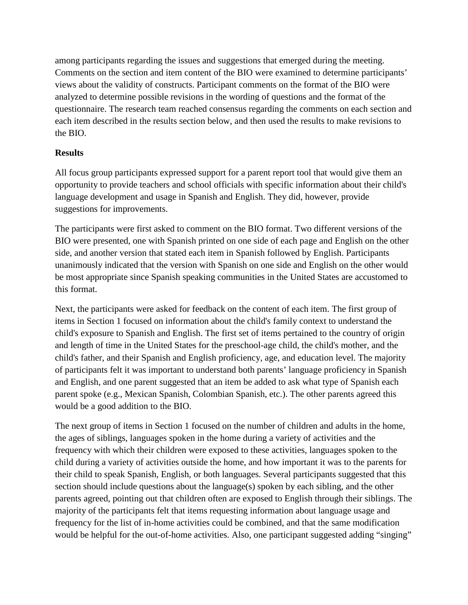among participants regarding the issues and suggestions that emerged during the meeting. Comments on the section and item content of the BIO were examined to determine participants' views about the validity of constructs. Participant comments on the format of the BIO were analyzed to determine possible revisions in the wording of questions and the format of the questionnaire. The research team reached consensus regarding the comments on each section and each item described in the results section below, and then used the results to make revisions to the BIO.

## **Results**

All focus group participants expressed support for a parent report tool that would give them an opportunity to provide teachers and school officials with specific information about their child's language development and usage in Spanish and English. They did, however, provide suggestions for improvements.

The participants were first asked to comment on the BIO format. Two different versions of the BIO were presented, one with Spanish printed on one side of each page and English on the other side, and another version that stated each item in Spanish followed by English. Participants unanimously indicated that the version with Spanish on one side and English on the other would be most appropriate since Spanish speaking communities in the United States are accustomed to this format.

Next, the participants were asked for feedback on the content of each item. The first group of items in Section 1 focused on information about the child's family context to understand the child's exposure to Spanish and English. The first set of items pertained to the country of origin and length of time in the United States for the preschool-age child, the child's mother, and the child's father, and their Spanish and English proficiency, age, and education level. The majority of participants felt it was important to understand both parents' language proficiency in Spanish and English, and one parent suggested that an item be added to ask what type of Spanish each parent spoke (e.g., Mexican Spanish, Colombian Spanish, etc.). The other parents agreed this would be a good addition to the BIO.

The next group of items in Section 1 focused on the number of children and adults in the home, the ages of siblings, languages spoken in the home during a variety of activities and the frequency with which their children were exposed to these activities, languages spoken to the child during a variety of activities outside the home, and how important it was to the parents for their child to speak Spanish, English, or both languages. Several participants suggested that this section should include questions about the language(s) spoken by each sibling, and the other parents agreed, pointing out that children often are exposed to English through their siblings. The majority of the participants felt that items requesting information about language usage and frequency for the list of in-home activities could be combined, and that the same modification would be helpful for the out-of-home activities. Also, one participant suggested adding "singing"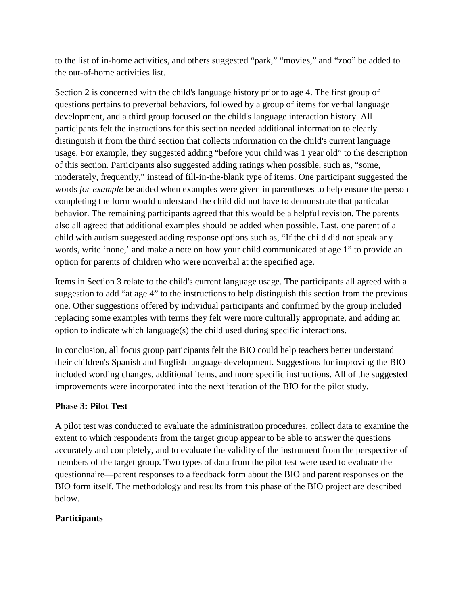to the list of in-home activities, and others suggested "park," "movies," and "zoo" be added to the out-of-home activities list.

Section 2 is concerned with the child's language history prior to age 4. The first group of questions pertains to preverbal behaviors, followed by a group of items for verbal language development, and a third group focused on the child's language interaction history. All participants felt the instructions for this section needed additional information to clearly distinguish it from the third section that collects information on the child's current language usage. For example, they suggested adding "before your child was 1 year old" to the description of this section. Participants also suggested adding ratings when possible, such as, "some, moderately, frequently," instead of fill-in-the-blank type of items. One participant suggested the words *for example* be added when examples were given in parentheses to help ensure the person completing the form would understand the child did not have to demonstrate that particular behavior. The remaining participants agreed that this would be a helpful revision. The parents also all agreed that additional examples should be added when possible. Last, one parent of a child with autism suggested adding response options such as, "If the child did not speak any words, write 'none,' and make a note on how your child communicated at age 1" to provide an option for parents of children who were nonverbal at the specified age.

Items in Section 3 relate to the child's current language usage. The participants all agreed with a suggestion to add "at age 4" to the instructions to help distinguish this section from the previous one. Other suggestions offered by individual participants and confirmed by the group included replacing some examples with terms they felt were more culturally appropriate, and adding an option to indicate which language(s) the child used during specific interactions.

In conclusion, all focus group participants felt the BIO could help teachers better understand their children's Spanish and English language development. Suggestions for improving the BIO included wording changes, additional items, and more specific instructions. All of the suggested improvements were incorporated into the next iteration of the BIO for the pilot study.

# **Phase 3: Pilot Test**

A pilot test was conducted to evaluate the administration procedures, collect data to examine the extent to which respondents from the target group appear to be able to answer the questions accurately and completely, and to evaluate the validity of the instrument from the perspective of members of the target group. Two types of data from the pilot test were used to evaluate the questionnaire—parent responses to a feedback form about the BIO and parent responses on the BIO form itself. The methodology and results from this phase of the BIO project are described below.

## **Participants**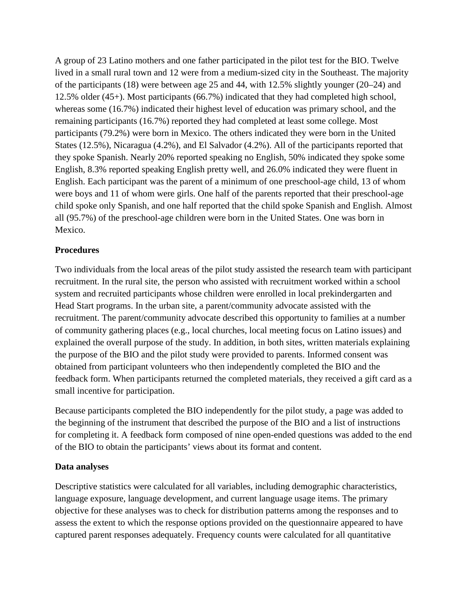A group of 23 Latino mothers and one father participated in the pilot test for the BIO. Twelve lived in a small rural town and 12 were from a medium-sized city in the Southeast. The majority of the participants (18) were between age 25 and 44, with 12.5% slightly younger (20–24) and 12.5% older (45+). Most participants (66.7%) indicated that they had completed high school, whereas some (16.7%) indicated their highest level of education was primary school, and the remaining participants (16.7%) reported they had completed at least some college. Most participants (79.2%) were born in Mexico. The others indicated they were born in the United States (12.5%), Nicaragua (4.2%), and El Salvador (4.2%). All of the participants reported that they spoke Spanish. Nearly 20% reported speaking no English, 50% indicated they spoke some English, 8.3% reported speaking English pretty well, and 26.0% indicated they were fluent in English. Each participant was the parent of a minimum of one preschool-age child, 13 of whom were boys and 11 of whom were girls. One half of the parents reported that their preschool-age child spoke only Spanish, and one half reported that the child spoke Spanish and English. Almost all (95.7%) of the preschool-age children were born in the United States. One was born in Mexico.

### **Procedures**

Two individuals from the local areas of the pilot study assisted the research team with participant recruitment. In the rural site, the person who assisted with recruitment worked within a school system and recruited participants whose children were enrolled in local prekindergarten and Head Start programs. In the urban site, a parent/community advocate assisted with the recruitment. The parent/community advocate described this opportunity to families at a number of community gathering places (e.g., local churches, local meeting focus on Latino issues) and explained the overall purpose of the study. In addition, in both sites, written materials explaining the purpose of the BIO and the pilot study were provided to parents. Informed consent was obtained from participant volunteers who then independently completed the BIO and the feedback form. When participants returned the completed materials, they received a gift card as a small incentive for participation.

Because participants completed the BIO independently for the pilot study, a page was added to the beginning of the instrument that described the purpose of the BIO and a list of instructions for completing it. A feedback form composed of nine open-ended questions was added to the end of the BIO to obtain the participants' views about its format and content.

#### **Data analyses**

Descriptive statistics were calculated for all variables, including demographic characteristics, language exposure, language development, and current language usage items. The primary objective for these analyses was to check for distribution patterns among the responses and to assess the extent to which the response options provided on the questionnaire appeared to have captured parent responses adequately. Frequency counts were calculated for all quantitative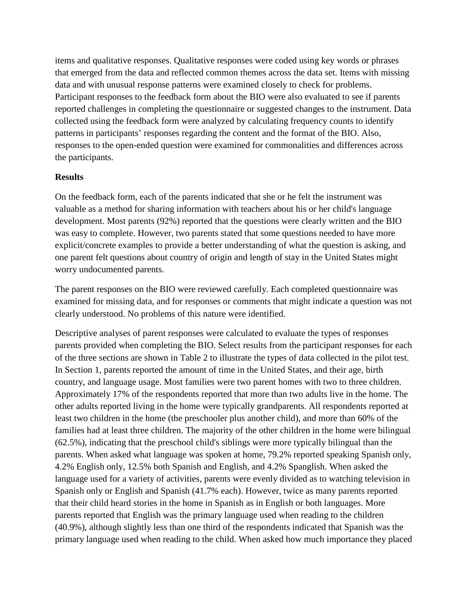items and qualitative responses. Qualitative responses were coded using key words or phrases that emerged from the data and reflected common themes across the data set. Items with missing data and with unusual response patterns were examined closely to check for problems. Participant responses to the feedback form about the BIO were also evaluated to see if parents reported challenges in completing the questionnaire or suggested changes to the instrument. Data collected using the feedback form were analyzed by calculating frequency counts to identify patterns in participants' responses regarding the content and the format of the BIO. Also, responses to the open-ended question were examined for commonalities and differences across the participants.

#### **Results**

On the feedback form, each of the parents indicated that she or he felt the instrument was valuable as a method for sharing information with teachers about his or her child's language development. Most parents (92%) reported that the questions were clearly written and the BIO was easy to complete. However, two parents stated that some questions needed to have more explicit/concrete examples to provide a better understanding of what the question is asking, and one parent felt questions about country of origin and length of stay in the United States might worry undocumented parents.

The parent responses on the BIO were reviewed carefully. Each completed questionnaire was examined for missing data, and for responses or comments that might indicate a question was not clearly understood. No problems of this nature were identified.

Descriptive analyses of parent responses were calculated to evaluate the types of responses parents provided when completing the BIO. Select results from the participant responses for each of the three sections are shown in Table 2 to illustrate the types of data collected in the pilot test. In Section 1, parents reported the amount of time in the United States, and their age, birth country, and language usage. Most families were two parent homes with two to three children. Approximately 17% of the respondents reported that more than two adults live in the home. The other adults reported living in the home were typically grandparents. All respondents reported at least two children in the home (the preschooler plus another child), and more than 60% of the families had at least three children. The majority of the other children in the home were bilingual (62.5%), indicating that the preschool child's siblings were more typically bilingual than the parents. When asked what language was spoken at home, 79.2% reported speaking Spanish only, 4.2% English only, 12.5% both Spanish and English, and 4.2% Spanglish. When asked the language used for a variety of activities, parents were evenly divided as to watching television in Spanish only or English and Spanish (41.7% each). However, twice as many parents reported that their child heard stories in the home in Spanish as in English or both languages. More parents reported that English was the primary language used when reading to the children (40.9%), although slightly less than one third of the respondents indicated that Spanish was the primary language used when reading to the child. When asked how much importance they placed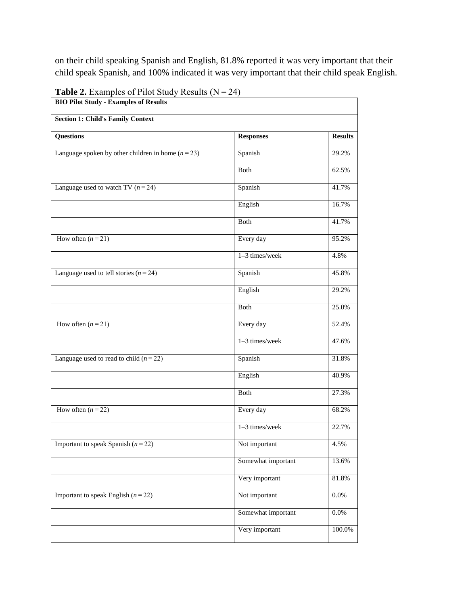on their child speaking Spanish and English, 81.8% reported it was very important that their child speak Spanish, and 100% indicated it was very important that their child speak English.

| <b>BIO Pilot Study - Examples of Results</b>       |                    |                |
|----------------------------------------------------|--------------------|----------------|
| <b>Section 1: Child's Family Context</b>           |                    |                |
| <b>Questions</b>                                   | <b>Responses</b>   | <b>Results</b> |
| Language spoken by other children in home $(n=23)$ | Spanish            | 29.2%          |
|                                                    | Both               | 62.5%          |
| Language used to watch TV $(n=24)$                 | Spanish            | 41.7%          |
|                                                    | English            | 16.7%          |
|                                                    | Both               | 41.7%          |
| How often $(n=21)$                                 | Every day          | 95.2%          |
|                                                    | $1-3$ times/week   | 4.8%           |
| Language used to tell stories $(n = 24)$           | Spanish            | 45.8%          |
|                                                    | English            | 29.2%          |
|                                                    | Both               | 25.0%          |
| How often $(n=21)$                                 | Every day          | 52.4%          |
|                                                    | $1-3$ times/week   | 47.6%          |
| Language used to read to child $(n=22)$            | Spanish            | 31.8%          |
|                                                    | English            | 40.9%          |
|                                                    | Both               | 27.3%          |
| How often $(n=22)$                                 | Every day          | 68.2%          |
|                                                    | $1-3$ times/week   | 22.7%          |
| Important to speak Spanish $(n=22)$                | Not important      | 4.5%           |
|                                                    | Somewhat important | 13.6%          |
|                                                    | Very important     | 81.8%          |
| Important to speak English $(n=22)$                | Not important      | $0.0\%$        |
|                                                    | Somewhat important | $0.0\%$        |
|                                                    | Very important     | 100.0%         |
|                                                    |                    |                |

**Table 2.** Examples of Pilot Study Results  $(N = 24)$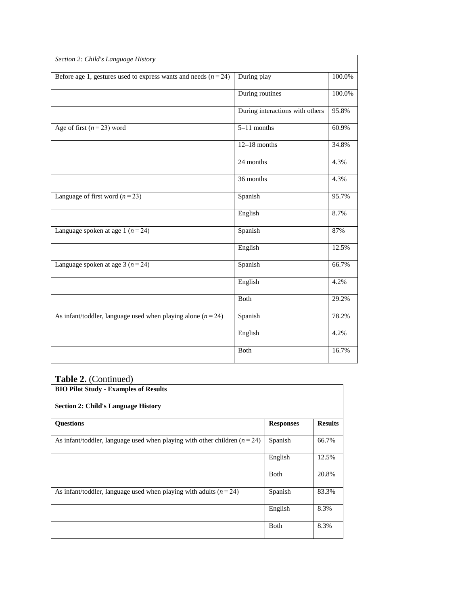| Section 2: Child's Language History                             |                                 |        |
|-----------------------------------------------------------------|---------------------------------|--------|
| Before age 1, gestures used to express wants and needs $(n=24)$ | During play                     | 100.0% |
|                                                                 | During routines                 | 100.0% |
|                                                                 | During interactions with others | 95.8%  |
| Age of first $(n=23)$ word                                      | $5-11$ months                   | 60.9%  |
|                                                                 | $12-18$ months                  | 34.8%  |
|                                                                 | 24 months                       | 4.3%   |
|                                                                 | 36 months                       | 4.3%   |
| Language of first word $(n=23)$                                 | Spanish                         | 95.7%  |
|                                                                 | English                         | 8.7%   |
| Language spoken at age 1 $(n=24)$                               | Spanish                         | 87%    |
|                                                                 | English                         | 12.5%  |
| Language spoken at age $3(n=24)$                                | Spanish                         | 66.7%  |
|                                                                 | English                         | 4.2%   |
|                                                                 | Both                            | 29.2%  |
| As infant/toddler, language used when playing alone $(n = 24)$  | Spanish                         | 78.2%  |
|                                                                 | English                         | 4.2%   |
|                                                                 | Both                            | 16.7%  |

# **Table 2.** (Continued)

| <b>BIO Pilot Study - Examples of Results</b><br><b>Section 2: Child's Language History</b> |              |       |
|--------------------------------------------------------------------------------------------|--------------|-------|
|                                                                                            |              |       |
| As infant/toddler, language used when playing with other children $(n = 24)$               | Spanish      | 66.7% |
|                                                                                            | English      | 12.5% |
|                                                                                            | <b>B</b> oth | 20.8% |
| As infant/toddler, language used when playing with adults $(n=24)$                         | Spanish      | 83.3% |
|                                                                                            | English      | 8.3%  |
|                                                                                            | <b>B</b> oth | 8.3%  |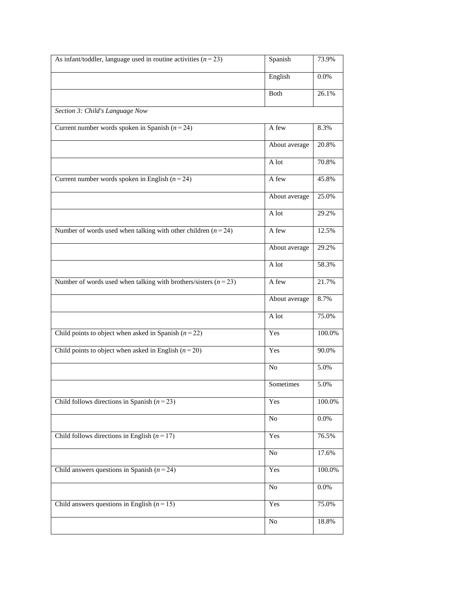| As infant/toddler, language used in routine activities $(n=23)$      | Spanish        | 73.9%     |
|----------------------------------------------------------------------|----------------|-----------|
|                                                                      | English        | 0.0%      |
|                                                                      | Both           | 26.1%     |
| Section 3: Child's Language Now                                      |                |           |
| Current number words spoken in Spanish $(n = 24)$                    | A few          | 8.3%      |
|                                                                      | About average  | 20.8%     |
|                                                                      | A lot          | 70.8%     |
| Current number words spoken in English $(n = 24)$                    | A few          | 45.8%     |
|                                                                      | About average  | 25.0%     |
|                                                                      | A lot          | 29.2%     |
| Number of words used when talking with other children $(n = 24)$     | A few          | 12.5%     |
|                                                                      | About average  | 29.2%     |
|                                                                      | A lot          | 58.3%     |
| Number of words used when talking with brothers/sisters ( $n = 23$ ) | A few          | 21.7%     |
|                                                                      | About average  | 8.7%      |
|                                                                      | A lot          | 75.0%     |
| Child points to object when asked in Spanish $(n=22)$                | Yes            | 100.0%    |
| Child points to object when asked in English ( $n = 20$ )            | Yes            | 90.0%     |
|                                                                      | N <sub>o</sub> | 5.0%      |
|                                                                      | Sometimes      | 5.0%      |
| Child follows directions in Spanish $(n = 23)$                       | Yes            | 100.0%    |
|                                                                      | $\rm No$       | 0.0%      |
| Child follows directions in English $(n = 17)$                       | Yes            | 76.5%     |
|                                                                      | $\rm No$       | 17.6%     |
| Child answers questions in Spanish $(n = 24)$                        | Yes            | $100.0\%$ |
|                                                                      | $\rm No$       | $0.0\%$   |
| Child answers questions in English $(n = 15)$                        | Yes            | 75.0%     |
|                                                                      | $\rm No$       | 18.8%     |
|                                                                      |                |           |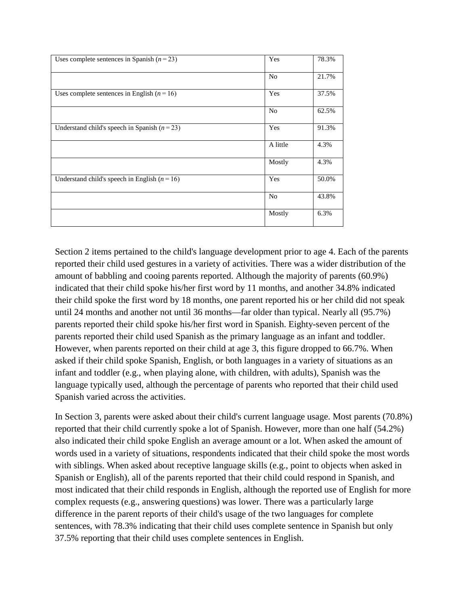| Uses complete sentences in Spanish $(n=23)$       | Yes            | 78.3% |
|---------------------------------------------------|----------------|-------|
|                                                   | N <sub>0</sub> | 21.7% |
| Uses complete sentences in English $(n = 16)$     | Yes            | 37.5% |
|                                                   | N <sub>0</sub> | 62.5% |
| Understand child's speech in Spanish $(n = 23)$   | Yes            | 91.3% |
|                                                   | A little       | 4.3%  |
|                                                   | Mostly         | 4.3%  |
| Understand child's speech in English ( $n = 16$ ) | Yes            | 50.0% |
|                                                   | $\rm No$       | 43.8% |
|                                                   | Mostly         | 6.3%  |

Section 2 items pertained to the child's language development prior to age 4. Each of the parents reported their child used gestures in a variety of activities. There was a wider distribution of the amount of babbling and cooing parents reported. Although the majority of parents (60.9%) indicated that their child spoke his/her first word by 11 months, and another 34.8% indicated their child spoke the first word by 18 months, one parent reported his or her child did not speak until 24 months and another not until 36 months—far older than typical. Nearly all (95.7%) parents reported their child spoke his/her first word in Spanish. Eighty-seven percent of the parents reported their child used Spanish as the primary language as an infant and toddler. However, when parents reported on their child at age 3, this figure dropped to 66.7%. When asked if their child spoke Spanish, English, or both languages in a variety of situations as an infant and toddler (e.g., when playing alone, with children, with adults), Spanish was the language typically used, although the percentage of parents who reported that their child used Spanish varied across the activities.

In Section 3, parents were asked about their child's current language usage. Most parents (70.8%) reported that their child currently spoke a lot of Spanish. However, more than one half (54.2%) also indicated their child spoke English an average amount or a lot. When asked the amount of words used in a variety of situations, respondents indicated that their child spoke the most words with siblings. When asked about receptive language skills (e.g., point to objects when asked in Spanish or English), all of the parents reported that their child could respond in Spanish, and most indicated that their child responds in English, although the reported use of English for more complex requests (e.g., answering questions) was lower. There was a particularly large difference in the parent reports of their child's usage of the two languages for complete sentences, with 78.3% indicating that their child uses complete sentence in Spanish but only 37.5% reporting that their child uses complete sentences in English.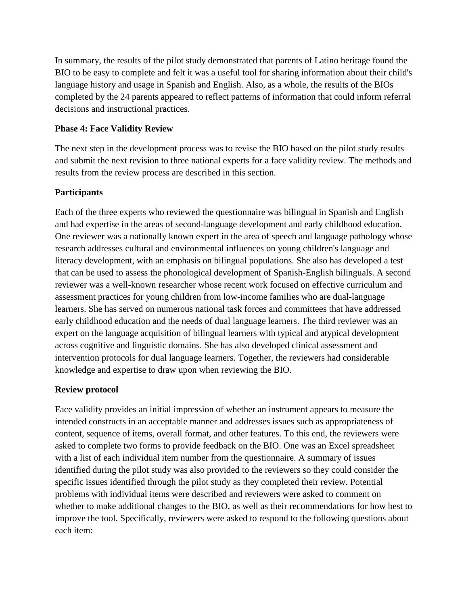In summary, the results of the pilot study demonstrated that parents of Latino heritage found the BIO to be easy to complete and felt it was a useful tool for sharing information about their child's language history and usage in Spanish and English. Also, as a whole, the results of the BIOs completed by the 24 parents appeared to reflect patterns of information that could inform referral decisions and instructional practices.

### **Phase 4: Face Validity Review**

The next step in the development process was to revise the BIO based on the pilot study results and submit the next revision to three national experts for a face validity review. The methods and results from the review process are described in this section.

### **Participants**

Each of the three experts who reviewed the questionnaire was bilingual in Spanish and English and had expertise in the areas of second-language development and early childhood education. One reviewer was a nationally known expert in the area of speech and language pathology whose research addresses cultural and environmental influences on young children's language and literacy development, with an emphasis on bilingual populations. She also has developed a test that can be used to assess the phonological development of Spanish-English bilinguals. A second reviewer was a well-known researcher whose recent work focused on effective curriculum and assessment practices for young children from low-income families who are dual-language learners. She has served on numerous national task forces and committees that have addressed early childhood education and the needs of dual language learners. The third reviewer was an expert on the language acquisition of bilingual learners with typical and atypical development across cognitive and linguistic domains. She has also developed clinical assessment and intervention protocols for dual language learners. Together, the reviewers had considerable knowledge and expertise to draw upon when reviewing the BIO.

#### **Review protocol**

Face validity provides an initial impression of whether an instrument appears to measure the intended constructs in an acceptable manner and addresses issues such as appropriateness of content, sequence of items, overall format, and other features. To this end, the reviewers were asked to complete two forms to provide feedback on the BIO. One was an Excel spreadsheet with a list of each individual item number from the questionnaire. A summary of issues identified during the pilot study was also provided to the reviewers so they could consider the specific issues identified through the pilot study as they completed their review. Potential problems with individual items were described and reviewers were asked to comment on whether to make additional changes to the BIO, as well as their recommendations for how best to improve the tool. Specifically, reviewers were asked to respond to the following questions about each item: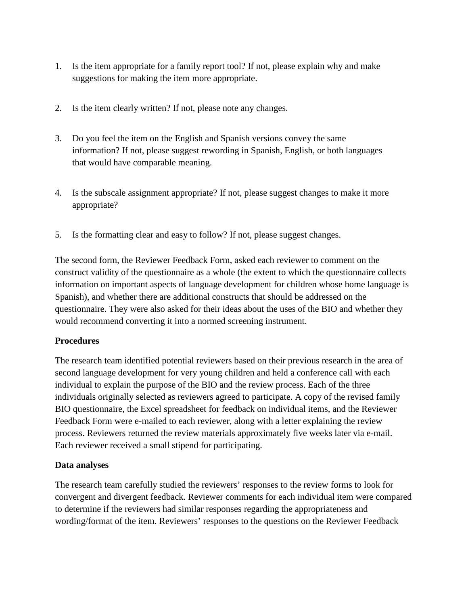- 1. Is the item appropriate for a family report tool? If not, please explain why and make suggestions for making the item more appropriate.
- 2. Is the item clearly written? If not, please note any changes.
- 3. Do you feel the item on the English and Spanish versions convey the same information? If not, please suggest rewording in Spanish, English, or both languages that would have comparable meaning.
- 4. Is the subscale assignment appropriate? If not, please suggest changes to make it more appropriate?
- 5. Is the formatting clear and easy to follow? If not, please suggest changes.

The second form, the Reviewer Feedback Form, asked each reviewer to comment on the construct validity of the questionnaire as a whole (the extent to which the questionnaire collects information on important aspects of language development for children whose home language is Spanish), and whether there are additional constructs that should be addressed on the questionnaire. They were also asked for their ideas about the uses of the BIO and whether they would recommend converting it into a normed screening instrument.

## **Procedures**

The research team identified potential reviewers based on their previous research in the area of second language development for very young children and held a conference call with each individual to explain the purpose of the BIO and the review process. Each of the three individuals originally selected as reviewers agreed to participate. A copy of the revised family BIO questionnaire, the Excel spreadsheet for feedback on individual items, and the Reviewer Feedback Form were e-mailed to each reviewer, along with a letter explaining the review process. Reviewers returned the review materials approximately five weeks later via e-mail. Each reviewer received a small stipend for participating.

## **Data analyses**

The research team carefully studied the reviewers' responses to the review forms to look for convergent and divergent feedback. Reviewer comments for each individual item were compared to determine if the reviewers had similar responses regarding the appropriateness and wording/format of the item. Reviewers' responses to the questions on the Reviewer Feedback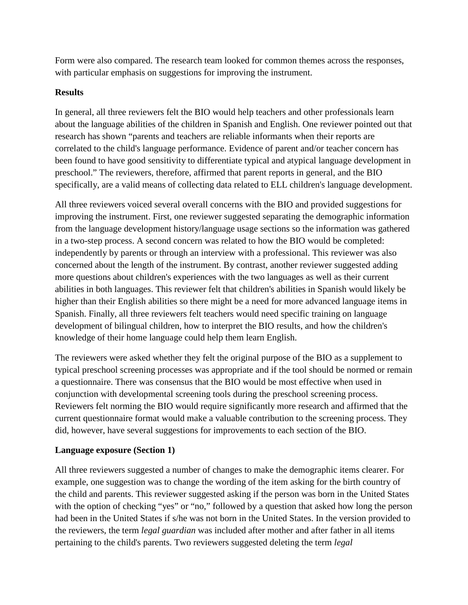Form were also compared. The research team looked for common themes across the responses, with particular emphasis on suggestions for improving the instrument.

## **Results**

In general, all three reviewers felt the BIO would help teachers and other professionals learn about the language abilities of the children in Spanish and English. One reviewer pointed out that research has shown "parents and teachers are reliable informants when their reports are correlated to the child's language performance. Evidence of parent and/or teacher concern has been found to have good sensitivity to differentiate typical and atypical language development in preschool." The reviewers, therefore, affirmed that parent reports in general, and the BIO specifically, are a valid means of collecting data related to ELL children's language development.

All three reviewers voiced several overall concerns with the BIO and provided suggestions for improving the instrument. First, one reviewer suggested separating the demographic information from the language development history/language usage sections so the information was gathered in a two-step process. A second concern was related to how the BIO would be completed: independently by parents or through an interview with a professional. This reviewer was also concerned about the length of the instrument. By contrast, another reviewer suggested adding more questions about children's experiences with the two languages as well as their current abilities in both languages. This reviewer felt that children's abilities in Spanish would likely be higher than their English abilities so there might be a need for more advanced language items in Spanish. Finally, all three reviewers felt teachers would need specific training on language development of bilingual children, how to interpret the BIO results, and how the children's knowledge of their home language could help them learn English.

The reviewers were asked whether they felt the original purpose of the BIO as a supplement to typical preschool screening processes was appropriate and if the tool should be normed or remain a questionnaire. There was consensus that the BIO would be most effective when used in conjunction with developmental screening tools during the preschool screening process. Reviewers felt norming the BIO would require significantly more research and affirmed that the current questionnaire format would make a valuable contribution to the screening process. They did, however, have several suggestions for improvements to each section of the BIO.

# **Language exposure (Section 1)**

All three reviewers suggested a number of changes to make the demographic items clearer. For example, one suggestion was to change the wording of the item asking for the birth country of the child and parents. This reviewer suggested asking if the person was born in the United States with the option of checking "yes" or "no," followed by a question that asked how long the person had been in the United States if s/he was not born in the United States. In the version provided to the reviewers, the term *legal guardian* was included after mother and after father in all items pertaining to the child's parents. Two reviewers suggested deleting the term *legal*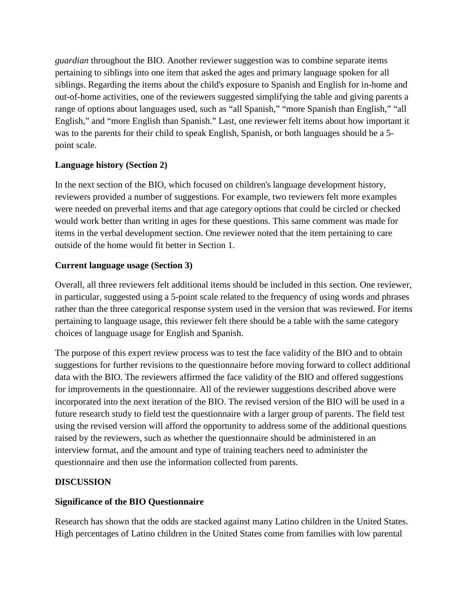*guardian* throughout the BIO. Another reviewer suggestion was to combine separate items pertaining to siblings into one item that asked the ages and primary language spoken for all siblings. Regarding the items about the child's exposure to Spanish and English for in-home and out-of-home activities, one of the reviewers suggested simplifying the table and giving parents a range of options about languages used, such as "all Spanish," "more Spanish than English," "all English," and "more English than Spanish." Last, one reviewer felt items about how important it was to the parents for their child to speak English, Spanish, or both languages should be a 5 point scale.

# **Language history (Section 2)**

In the next section of the BIO, which focused on children's language development history, reviewers provided a number of suggestions. For example, two reviewers felt more examples were needed on preverbal items and that age category options that could be circled or checked would work better than writing in ages for these questions. This same comment was made for items in the verbal development section. One reviewer noted that the item pertaining to care outside of the home would fit better in Section 1.

# **Current language usage (Section 3)**

Overall, all three reviewers felt additional items should be included in this section. One reviewer, in particular, suggested using a 5-point scale related to the frequency of using words and phrases rather than the three categorical response system used in the version that was reviewed. For items pertaining to language usage, this reviewer felt there should be a table with the same category choices of language usage for English and Spanish.

The purpose of this expert review process was to test the face validity of the BIO and to obtain suggestions for further revisions to the questionnaire before moving forward to collect additional data with the BIO. The reviewers affirmed the face validity of the BIO and offered suggestions for improvements in the questionnaire. All of the reviewer suggestions described above were incorporated into the next iteration of the BIO. The revised version of the BIO will be used in a future research study to field test the questionnaire with a larger group of parents. The field test using the revised version will afford the opportunity to address some of the additional questions raised by the reviewers, such as whether the questionnaire should be administered in an interview format, and the amount and type of training teachers need to administer the questionnaire and then use the information collected from parents.

# **DISCUSSION**

# **Significance of the BIO Questionnaire**

Research has shown that the odds are stacked against many Latino children in the United States. High percentages of Latino children in the United States come from families with low parental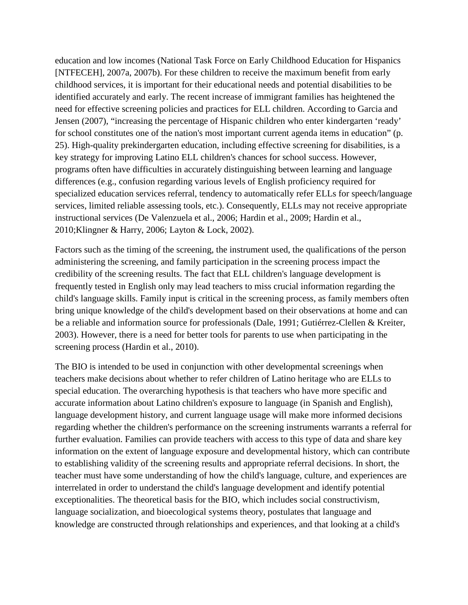education and low incomes (National Task Force on Early Childhood Education for Hispanics [NTFECEH], 2007a, 2007b). For these children to receive the maximum benefit from early childhood services, it is important for their educational needs and potential disabilities to be identified accurately and early. The recent increase of immigrant families has heightened the need for effective screening policies and practices for ELL children. According to Garcia and Jensen (2007), "increasing the percentage of Hispanic children who enter kindergarten 'ready' for school constitutes one of the nation's most important current agenda items in education" (p. 25). High-quality prekindergarten education, including effective screening for disabilities, is a key strategy for improving Latino ELL children's chances for school success. However, programs often have difficulties in accurately distinguishing between learning and language differences (e.g., confusion regarding various levels of English proficiency required for specialized education services referral, tendency to automatically refer ELLs for speech/language services, limited reliable assessing tools, etc.). Consequently, ELLs may not receive appropriate instructional services (De Valenzuela et al., 2006; Hardin et al., 2009; Hardin et al., 2010;Klingner & Harry, 2006; Layton & Lock, 2002).

Factors such as the timing of the screening, the instrument used, the qualifications of the person administering the screening, and family participation in the screening process impact the credibility of the screening results. The fact that ELL children's language development is frequently tested in English only may lead teachers to miss crucial information regarding the child's language skills. Family input is critical in the screening process, as family members often bring unique knowledge of the child's development based on their observations at home and can be a reliable and information source for professionals (Dale, 1991; Gutiérrez-Clellen & Kreiter, 2003). However, there is a need for better tools for parents to use when participating in the screening process (Hardin et al., 2010).

The BIO is intended to be used in conjunction with other developmental screenings when teachers make decisions about whether to refer children of Latino heritage who are ELLs to special education. The overarching hypothesis is that teachers who have more specific and accurate information about Latino children's exposure to language (in Spanish and English), language development history, and current language usage will make more informed decisions regarding whether the children's performance on the screening instruments warrants a referral for further evaluation. Families can provide teachers with access to this type of data and share key information on the extent of language exposure and developmental history, which can contribute to establishing validity of the screening results and appropriate referral decisions. In short, the teacher must have some understanding of how the child's language, culture, and experiences are interrelated in order to understand the child's language development and identify potential exceptionalities. The theoretical basis for the BIO, which includes social constructivism, language socialization, and bioecological systems theory, postulates that language and knowledge are constructed through relationships and experiences, and that looking at a child's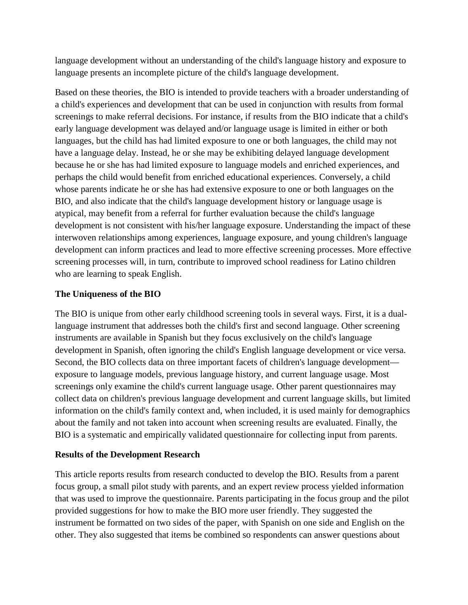language development without an understanding of the child's language history and exposure to language presents an incomplete picture of the child's language development.

Based on these theories, the BIO is intended to provide teachers with a broader understanding of a child's experiences and development that can be used in conjunction with results from formal screenings to make referral decisions. For instance, if results from the BIO indicate that a child's early language development was delayed and/or language usage is limited in either or both languages, but the child has had limited exposure to one or both languages, the child may not have a language delay. Instead, he or she may be exhibiting delayed language development because he or she has had limited exposure to language models and enriched experiences, and perhaps the child would benefit from enriched educational experiences. Conversely, a child whose parents indicate he or she has had extensive exposure to one or both languages on the BIO, and also indicate that the child's language development history or language usage is atypical, may benefit from a referral for further evaluation because the child's language development is not consistent with his/her language exposure. Understanding the impact of these interwoven relationships among experiences, language exposure, and young children's language development can inform practices and lead to more effective screening processes. More effective screening processes will, in turn, contribute to improved school readiness for Latino children who are learning to speak English.

# **The Uniqueness of the BIO**

The BIO is unique from other early childhood screening tools in several ways. First, it is a duallanguage instrument that addresses both the child's first and second language. Other screening instruments are available in Spanish but they focus exclusively on the child's language development in Spanish, often ignoring the child's English language development or vice versa. Second, the BIO collects data on three important facets of children's language development exposure to language models, previous language history, and current language usage. Most screenings only examine the child's current language usage. Other parent questionnaires may collect data on children's previous language development and current language skills, but limited information on the child's family context and, when included, it is used mainly for demographics about the family and not taken into account when screening results are evaluated. Finally, the BIO is a systematic and empirically validated questionnaire for collecting input from parents.

## **Results of the Development Research**

This article reports results from research conducted to develop the BIO. Results from a parent focus group, a small pilot study with parents, and an expert review process yielded information that was used to improve the questionnaire. Parents participating in the focus group and the pilot provided suggestions for how to make the BIO more user friendly. They suggested the instrument be formatted on two sides of the paper, with Spanish on one side and English on the other. They also suggested that items be combined so respondents can answer questions about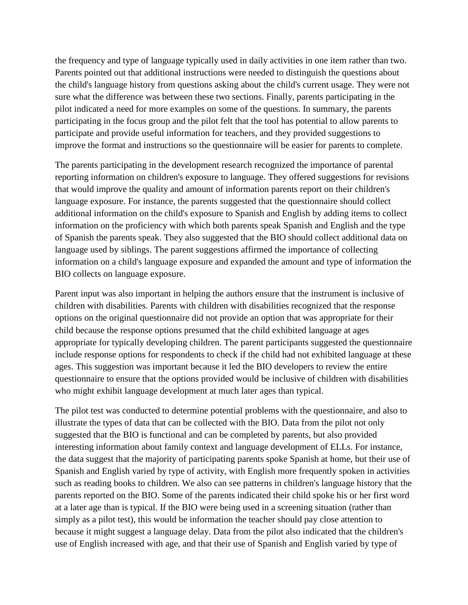the frequency and type of language typically used in daily activities in one item rather than two. Parents pointed out that additional instructions were needed to distinguish the questions about the child's language history from questions asking about the child's current usage. They were not sure what the difference was between these two sections. Finally, parents participating in the pilot indicated a need for more examples on some of the questions. In summary, the parents participating in the focus group and the pilot felt that the tool has potential to allow parents to participate and provide useful information for teachers, and they provided suggestions to improve the format and instructions so the questionnaire will be easier for parents to complete.

The parents participating in the development research recognized the importance of parental reporting information on children's exposure to language. They offered suggestions for revisions that would improve the quality and amount of information parents report on their children's language exposure. For instance, the parents suggested that the questionnaire should collect additional information on the child's exposure to Spanish and English by adding items to collect information on the proficiency with which both parents speak Spanish and English and the type of Spanish the parents speak. They also suggested that the BIO should collect additional data on language used by siblings. The parent suggestions affirmed the importance of collecting information on a child's language exposure and expanded the amount and type of information the BIO collects on language exposure.

Parent input was also important in helping the authors ensure that the instrument is inclusive of children with disabilities. Parents with children with disabilities recognized that the response options on the original questionnaire did not provide an option that was appropriate for their child because the response options presumed that the child exhibited language at ages appropriate for typically developing children. The parent participants suggested the questionnaire include response options for respondents to check if the child had not exhibited language at these ages. This suggestion was important because it led the BIO developers to review the entire questionnaire to ensure that the options provided would be inclusive of children with disabilities who might exhibit language development at much later ages than typical.

The pilot test was conducted to determine potential problems with the questionnaire, and also to illustrate the types of data that can be collected with the BIO. Data from the pilot not only suggested that the BIO is functional and can be completed by parents, but also provided interesting information about family context and language development of ELLs. For instance, the data suggest that the majority of participating parents spoke Spanish at home, but their use of Spanish and English varied by type of activity, with English more frequently spoken in activities such as reading books to children. We also can see patterns in children's language history that the parents reported on the BIO. Some of the parents indicated their child spoke his or her first word at a later age than is typical. If the BIO were being used in a screening situation (rather than simply as a pilot test), this would be information the teacher should pay close attention to because it might suggest a language delay. Data from the pilot also indicated that the children's use of English increased with age, and that their use of Spanish and English varied by type of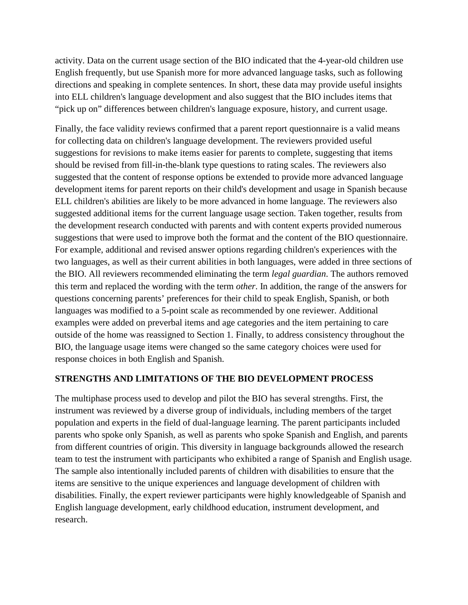activity. Data on the current usage section of the BIO indicated that the 4-year-old children use English frequently, but use Spanish more for more advanced language tasks, such as following directions and speaking in complete sentences. In short, these data may provide useful insights into ELL children's language development and also suggest that the BIO includes items that "pick up on" differences between children's language exposure, history, and current usage.

Finally, the face validity reviews confirmed that a parent report questionnaire is a valid means for collecting data on children's language development. The reviewers provided useful suggestions for revisions to make items easier for parents to complete, suggesting that items should be revised from fill-in-the-blank type questions to rating scales. The reviewers also suggested that the content of response options be extended to provide more advanced language development items for parent reports on their child's development and usage in Spanish because ELL children's abilities are likely to be more advanced in home language. The reviewers also suggested additional items for the current language usage section. Taken together, results from the development research conducted with parents and with content experts provided numerous suggestions that were used to improve both the format and the content of the BIO questionnaire. For example, additional and revised answer options regarding children's experiences with the two languages, as well as their current abilities in both languages, were added in three sections of the BIO. All reviewers recommended eliminating the term *legal guardian*. The authors removed this term and replaced the wording with the term *other*. In addition, the range of the answers for questions concerning parents' preferences for their child to speak English, Spanish, or both languages was modified to a 5-point scale as recommended by one reviewer. Additional examples were added on preverbal items and age categories and the item pertaining to care outside of the home was reassigned to Section 1. Finally, to address consistency throughout the BIO, the language usage items were changed so the same category choices were used for response choices in both English and Spanish.

#### **STRENGTHS AND LIMITATIONS OF THE BIO DEVELOPMENT PROCESS**

The multiphase process used to develop and pilot the BIO has several strengths. First, the instrument was reviewed by a diverse group of individuals, including members of the target population and experts in the field of dual-language learning. The parent participants included parents who spoke only Spanish, as well as parents who spoke Spanish and English, and parents from different countries of origin. This diversity in language backgrounds allowed the research team to test the instrument with participants who exhibited a range of Spanish and English usage. The sample also intentionally included parents of children with disabilities to ensure that the items are sensitive to the unique experiences and language development of children with disabilities. Finally, the expert reviewer participants were highly knowledgeable of Spanish and English language development, early childhood education, instrument development, and research.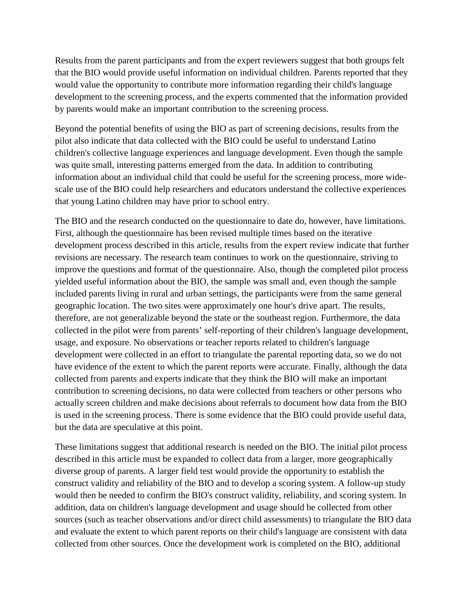Results from the parent participants and from the expert reviewers suggest that both groups felt that the BIO would provide useful information on individual children. Parents reported that they would value the opportunity to contribute more information regarding their child's language development to the screening process, and the experts commented that the information provided by parents would make an important contribution to the screening process.

Beyond the potential benefits of using the BIO as part of screening decisions, results from the pilot also indicate that data collected with the BIO could be useful to understand Latino children's collective language experiences and language development. Even though the sample was quite small, interesting patterns emerged from the data. In addition to contributing information about an individual child that could be useful for the screening process, more widescale use of the BIO could help researchers and educators understand the collective experiences that young Latino children may have prior to school entry.

The BIO and the research conducted on the questionnaire to date do, however, have limitations. First, although the questionnaire has been revised multiple times based on the iterative development process described in this article, results from the expert review indicate that further revisions are necessary. The research team continues to work on the questionnaire, striving to improve the questions and format of the questionnaire. Also, though the completed pilot process yielded useful information about the BIO, the sample was small and, even though the sample included parents living in rural and urban settings, the participants were from the same general geographic location. The two sites were approximately one hour's drive apart. The results, therefore, are not generalizable beyond the state or the southeast region. Furthermore, the data collected in the pilot were from parents' self-reporting of their children's language development, usage, and exposure. No observations or teacher reports related to children's language development were collected in an effort to triangulate the parental reporting data, so we do not have evidence of the extent to which the parent reports were accurate. Finally, although the data collected from parents and experts indicate that they think the BIO will make an important contribution to screening decisions, no data were collected from teachers or other persons who actually screen children and make decisions about referrals to document how data from the BIO is used in the screening process. There is some evidence that the BIO could provide useful data, but the data are speculative at this point.

These limitations suggest that additional research is needed on the BIO. The initial pilot process described in this article must be expanded to collect data from a larger, more geographically diverse group of parents. A larger field test would provide the opportunity to establish the construct validity and reliability of the BIO and to develop a scoring system. A follow-up study would then be needed to confirm the BIO's construct validity, reliability, and scoring system. In addition, data on children's language development and usage should be collected from other sources (such as teacher observations and/or direct child assessments) to triangulate the BIO data and evaluate the extent to which parent reports on their child's language are consistent with data collected from other sources. Once the development work is completed on the BIO, additional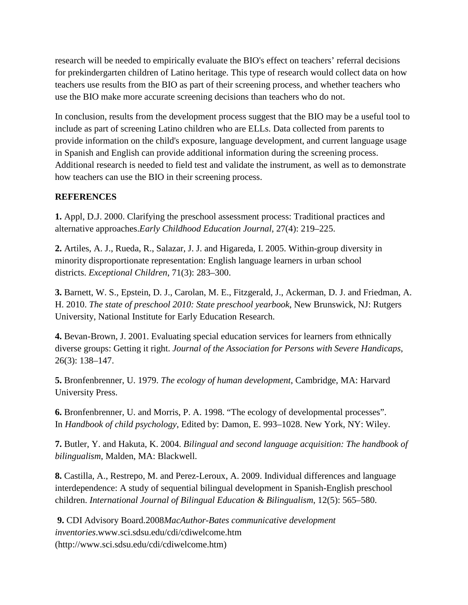research will be needed to empirically evaluate the BIO's effect on teachers' referral decisions for prekindergarten children of Latino heritage. This type of research would collect data on how teachers use results from the BIO as part of their screening process, and whether teachers who use the BIO make more accurate screening decisions than teachers who do not.

In conclusion, results from the development process suggest that the BIO may be a useful tool to include as part of screening Latino children who are ELLs. Data collected from parents to provide information on the child's exposure, language development, and current language usage in Spanish and English can provide additional information during the screening process. Additional research is needed to field test and validate the instrument, as well as to demonstrate how teachers can use the BIO in their screening process.

## **REFERENCES**

**1.** Appl, D.J. 2000. Clarifying the preschool assessment process: Traditional practices and alternative approaches.*Early Childhood Education Journal*, 27(4): 219–225.

**2.** Artiles, A. J., Rueda, R., Salazar, J. J. and Higareda, I. 2005. Within-group diversity in minority disproportionate representation: English language learners in urban school districts. *Exceptional Children*, 71(3): 283–300.

**3.** Barnett, W. S., Epstein, D. J., Carolan, M. E., Fitzgerald, J., Ackerman, D. J. and Friedman, A. H. 2010. *The state of preschool 2010: State preschool yearbook*, New Brunswick, NJ: Rutgers University, National Institute for Early Education Research.

**4.** Bevan-Brown, J. 2001. Evaluating special education services for learners from ethnically diverse groups: Getting it right. *Journal of the Association for Persons with Severe Handicaps*, 26(3): 138–147.

**5.** Bronfenbrenner, U. 1979. *The ecology of human development*, Cambridge, MA: Harvard University Press.

**6.** Bronfenbrenner, U. and Morris, P. A. 1998. "The ecology of developmental processes". In *Handbook of child psychology*, Edited by: Damon, E. 993–1028. New York, NY: Wiley.

**7.** Butler, Y. and Hakuta, K. 2004. *Bilingual and second language acquisition: The handbook of bilingualism*, Malden, MA: Blackwell.

**8.** Castilla, A., Restrepo, M. and Perez-Leroux, A. 2009. Individual differences and language interdependence: A study of sequential bilingual development in Spanish-English preschool children. *International Journal of Bilingual Education & Bilingualism*, 12(5): 565–580.

**9.** CDI Advisory Board.2008*MacAuthor-Bates communicative development inventories*.www.sci.sdsu.edu/cdi/cdiwelcome.htm (http://www.sci.sdsu.edu/cdi/cdiwelcome.htm)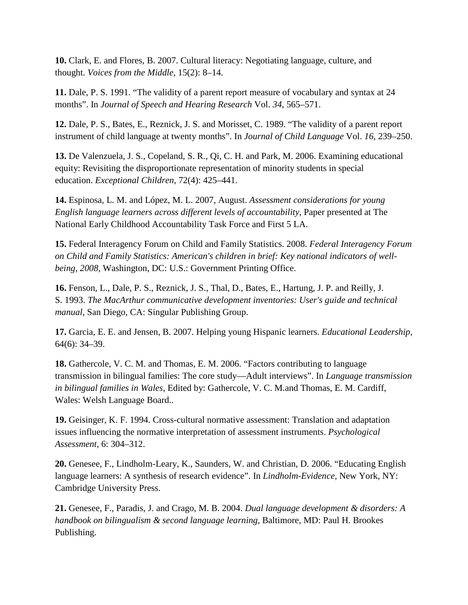**10.** Clark, E. and Flores, B. 2007. Cultural literacy: Negotiating language, culture, and thought. *Voices from the Middle*, 15(2): 8–14.

**11.** Dale, P. S. 1991. "The validity of a parent report measure of vocabulary and syntax at 24 months". In *Journal of Speech and Hearing Research* Vol. *34*, 565–571.

**12.** Dale, P. S., Bates, E., Reznick, J. S. and Morisset, C. 1989. "The validity of a parent report instrument of child language at twenty months". In *Journal of Child Language* Vol. *16*, 239–250.

**13.** De Valenzuela, J. S., Copeland, S. R., Qi, C. H. and Park, M. 2006. Examining educational equity: Revisiting the disproportionate representation of minority students in special education. *Exceptional Children*, 72(4): 425–441.

**14.** Espinosa, L. M. and López, M. L. 2007, August. *Assessment considerations for young English language learners across different levels of accountability*, Paper presented at The National Early Childhood Accountability Task Force and First 5 LA.

**15.** Federal Interagency Forum on Child and Family Statistics. 2008. *Federal Interagency Forum on Child and Family Statistics: American's children in brief: Key national indicators of wellbeing, 2008*, Washington, DC: U.S.: Government Printing Office.

**16.** Fenson, L., Dale, P. S., Reznick, J. S., Thal, D., Bates, E., Hartung, J. P. and Reilly, J. S. 1993. *The MacArthur communicative development inventories: User's guide and technical manual*, San Diego, CA: Singular Publishing Group.

**17.** Garcia, E. E. and Jensen, B. 2007. Helping young Hispanic learners. *Educational Leadership*, 64(6): 34–39.

**18.** Gathercole, V. C. M. and Thomas, E. M. 2006. "Factors contributing to language transmission in bilingual families: The core study—Adult interviews". In *Language transmission in bilingual families in Wales*, Edited by: Gathercole, V. C. M.and Thomas, E. M. Cardiff, Wales: Welsh Language Board..

**19.** Geisinger, K. F. 1994. Cross-cultural normative assessment: Translation and adaptation issues influencing the normative interpretation of assessment instruments. *Psychological Assessment*, 6: 304–312.

**20.** Genesee, F., Lindholm-Leary, K., Saunders, W. and Christian, D. 2006. "Educating English language learners: A synthesis of research evidence". In *Lindholm-Evidence*, New York, NY: Cambridge University Press.

**21.** Genesee, F., Paradis, J. and Crago, M. B. 2004. *Dual language development & disorders: A handbook on bilingualism & second language learning*, Baltimore, MD: Paul H. Brookes Publishing.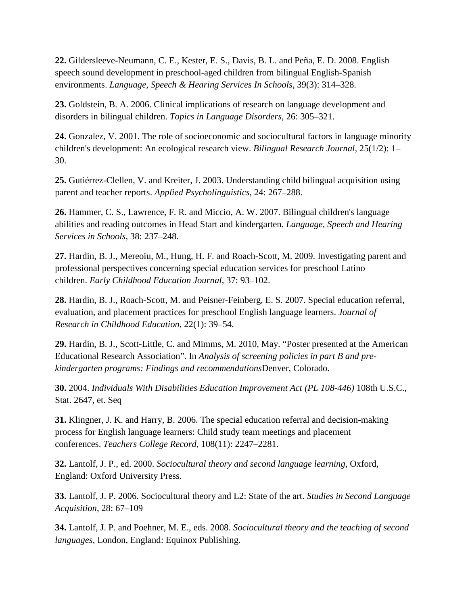**22.** Gildersleeve-Neumann, C. E., Kester, E. S., Davis, B. L. and Peña, E. D. 2008. English speech sound development in preschool-aged children from bilingual English-Spanish environments. *Language, Speech & Hearing Services In Schools*, 39(3): 314–328.

**23.** Goldstein, B. A. 2006. Clinical implications of research on language development and disorders in bilingual children. *Topics in Language Disorders*, 26: 305–321.

**24.** Gonzalez, V. 2001. The role of socioeconomic and sociocultural factors in language minority children's development: An ecological research view. *Bilingual Research Journal*, 25(1/2): 1– 30.

**25.** Gutiérrez-Clellen, V. and Kreiter, J. 2003. Understanding child bilingual acquisition using parent and teacher reports. *Applied Psycholinguistics*, 24: 267–288.

**26.** Hammer, C. S., Lawrence, F. R. and Miccio, A. W. 2007. Bilingual children's language abilities and reading outcomes in Head Start and kindergarten. *Language, Speech and Hearing Services in Schools*, 38: 237–248.

**27.** Hardin, B. J., Mereoiu, M., Hung, H. F. and Roach-Scott, M. 2009. Investigating parent and professional perspectives concerning special education services for preschool Latino children. *Early Childhood Education Journal*, 37: 93–102.

**28.** Hardin, B. J., Roach-Scott, M. and Peisner-Feinberg, E. S. 2007. Special education referral, evaluation, and placement practices for preschool English language learners. *Journal of Research in Childhood Education*, 22(1): 39–54.

**29.** Hardin, B. J., Scott-Little, C. and Mimms, M. 2010, May. "Poster presented at the American Educational Research Association". In *Analysis of screening policies in part B and prekindergarten programs: Findings and recommendations*Denver, Colorado.

**30.** 2004. *Individuals With Disabilities Education Improvement Act (PL 108-446)* 108th U.S.C., Stat. 2647, et. Seq

**31.** Klingner, J. K. and Harry, B. 2006. The special education referral and decision-making process for English language learners: Child study team meetings and placement conferences. *Teachers College Record*, 108(11): 2247–2281.

**32.** Lantolf, J. P., ed. 2000. *Sociocultural theory and second language learning*, Oxford, England: Oxford University Press.

**33.** Lantolf, J. P. 2006. Sociocultural theory and L2: State of the art. *Studies in Second Language Acquisition*, 28: 67–109

**34.** Lantolf, J. P. and Poehner, M. E., eds. 2008. *Sociocultural theory and the teaching of second languages*, London, England: Equinox Publishing.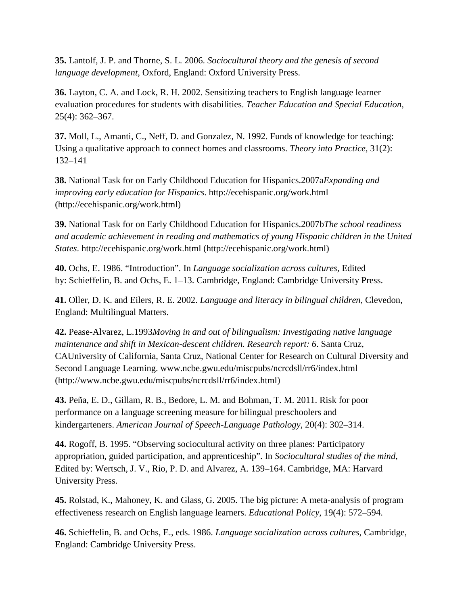**35.** Lantolf, J. P. and Thorne, S. L. 2006. *Sociocultural theory and the genesis of second language development*, Oxford, England: Oxford University Press.

**36.** Layton, C. A. and Lock, R. H. 2002. Sensitizing teachers to English language learner evaluation procedures for students with disabilities. *Teacher Education and Special Education*, 25(4): 362–367.

**37.** Moll, L., Amanti, C., Neff, D. and Gonzalez, N. 1992. Funds of knowledge for teaching: Using a qualitative approach to connect homes and classrooms. *Theory into Practice*, 31(2): 132–141

**38.** National Task for on Early Childhood Education for Hispanics.2007a*Expanding and improving early education for Hispanics*. http://ecehispanic.org/work.html (http://ecehispanic.org/work.html)

**39.** National Task for on Early Childhood Education for Hispanics.2007b*The school readiness and academic achievement in reading and mathematics of young Hispanic children in the United States*. http://ecehispanic.org/work.html (http://ecehispanic.org/work.html)

**40.** Ochs, E. 1986. "Introduction". In *Language socialization across cultures*, Edited by: Schieffelin, B. and Ochs, E. 1–13. Cambridge, England: Cambridge University Press.

**41.** Oller, D. K. and Eilers, R. E. 2002. *Language and literacy in bilingual children*, Clevedon, England: Multilingual Matters.

**42.** Pease-Alvarez, L.1993*Moving in and out of bilingualism: Investigating native language maintenance and shift in Mexican-descent children. Research report: 6*. Santa Cruz, CAUniversity of California, Santa Cruz, National Center for Research on Cultural Diversity and Second Language Learning. www.ncbe.gwu.edu/miscpubs/ncrcdsll/rr6/index.html (http://www.ncbe.gwu.edu/miscpubs/ncrcdsll/rr6/index.html)

**43.** Peña, E. D., Gillam, R. B., Bedore, L. M. and Bohman, T. M. 2011. Risk for poor performance on a language screening measure for bilingual preschoolers and kindergarteners. *American Journal of Speech-Language Pathology*, 20(4): 302–314.

**44.** Rogoff, B. 1995. "Observing sociocultural activity on three planes: Participatory appropriation, guided participation, and apprenticeship". In *Sociocultural studies of the mind*, Edited by: Wertsch, J. V., Rio, P. D. and Alvarez, A. 139–164. Cambridge, MA: Harvard University Press.

**45.** Rolstad, K., Mahoney, K. and Glass, G. 2005. The big picture: A meta-analysis of program effectiveness research on English language learners. *Educational Policy*, 19(4): 572–594.

**46.** Schieffelin, B. and Ochs, E., eds. 1986. *Language socialization across cultures*, Cambridge, England: Cambridge University Press.